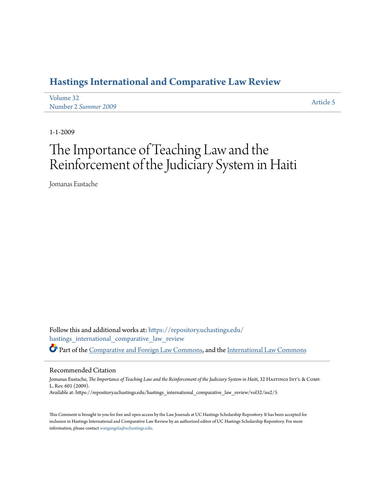# **[Hastings International and Comparative Law Review](https://repository.uchastings.edu/hastings_international_comparative_law_review?utm_source=repository.uchastings.edu%2Fhastings_international_comparative_law_review%2Fvol32%2Fiss2%2F5&utm_medium=PDF&utm_campaign=PDFCoverPages)**

| Volume 32            | Article 5 |
|----------------------|-----------|
| Number 2 Summer 2009 |           |

1-1-2009

# The Importance of Teaching Law and the Reinforcement of the Judiciary System in Haiti

Jomanas Eustache

Follow this and additional works at: [https://repository.uchastings.edu/](https://repository.uchastings.edu/hastings_international_comparative_law_review?utm_source=repository.uchastings.edu%2Fhastings_international_comparative_law_review%2Fvol32%2Fiss2%2F5&utm_medium=PDF&utm_campaign=PDFCoverPages) [hastings\\_international\\_comparative\\_law\\_review](https://repository.uchastings.edu/hastings_international_comparative_law_review?utm_source=repository.uchastings.edu%2Fhastings_international_comparative_law_review%2Fvol32%2Fiss2%2F5&utm_medium=PDF&utm_campaign=PDFCoverPages) Part of the [Comparative and Foreign Law Commons](http://network.bepress.com/hgg/discipline/836?utm_source=repository.uchastings.edu%2Fhastings_international_comparative_law_review%2Fvol32%2Fiss2%2F5&utm_medium=PDF&utm_campaign=PDFCoverPages), and the [International Law Commons](http://network.bepress.com/hgg/discipline/609?utm_source=repository.uchastings.edu%2Fhastings_international_comparative_law_review%2Fvol32%2Fiss2%2F5&utm_medium=PDF&utm_campaign=PDFCoverPages)

#### Recommended Citation

Jomanas Eustache, *The Importance of Teaching Law and the Reinforcement of the Judiciary System in Haiti*, 32 HASTINGS INT'L & COMP. L. Rev. 601 (2009). Available at: https://repository.uchastings.edu/hastings\_international\_comparative\_law\_review/vol32/iss2/5

This Comment is brought to you for free and open access by the Law Journals at UC Hastings Scholarship Repository. It has been accepted for inclusion in Hastings International and Comparative Law Review by an authorized editor of UC Hastings Scholarship Repository. For more information, please contact [wangangela@uchastings.edu](mailto:wangangela@uchastings.edu).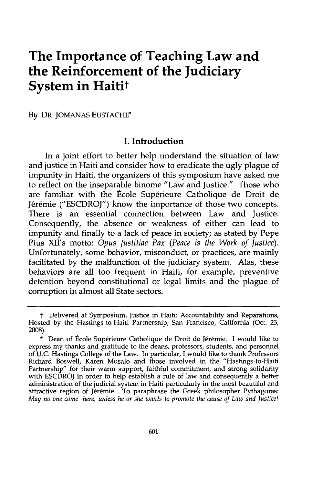# **The Importance of Teaching Law and the Reinforcement of the Judiciary System in Haitit**

**By** DR. JOMANAS **EUSTACHE\***

#### **I. Introduction**

In a joint effort to better help understand the situation of law and justice in Haiti and consider how to eradicate the ugly plague of impunity in Haiti, the organizers of this symposium have asked me to reflect on the inseparable binome "Law and Justice." Those who are familiar with the École Supérieure Catholique de Droit de Jérémie ("ESCDROJ") know the importance of those two concepts. There is an essential connection between Law and Justice. Consequently, the absence or weakness of either can lead to impunity and finally to a lack of peace in society; as stated **by** Pope Pius **XII's** motto: *Opus Justitiae Pax (Peace is the Work of Justice).* Unfortunately, some behavior, misconduct, or practices, are mainly facilitated **by** the malfunction of the judiciary system. Alas, these behaviors are all too frequent in Haiti, for example, preventive detention beyond constitutional or legal limits and the plague of corruption in almost all State sectors.

*t* Delivered at Symposium, Justice in Haiti: Accountability and Reparations, Hosted **by** the Hastings-to-Haiti Partnership, San Francisco, California (Oct. **23, 2008).**

<sup>\*</sup> Dean of École Supérieure Catholique de Droit de Jérémie. I would like to express my thanks and gratitude to the deans, professors, students, and personnel of **U.C.** Hastings College of the Law. In particular, **I** would like to thank Professors Richard Boswell, Karen Musalo and those involved in the "Hastings-to-Haiti Partnership" for their warm support, faithful commitment, and strong solidarity with ESCDROJ in order to help establish a rule of law and consequently a better administration of the judicial system in Haiti particularly in the most beautiful and attractive region of Jérémie. To paraphrase the Greek philosopher Pythagoras: *May no one come here, unless he or she wants to promote the cause of Law and Justice!*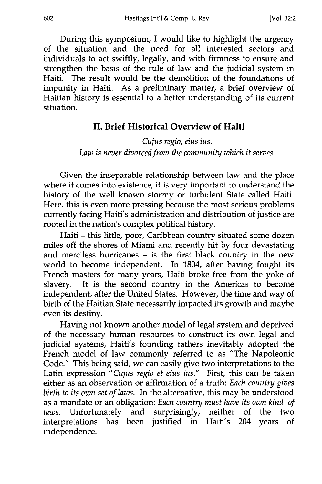During this symposium, I would like to highlight the urgency of the situation and the need for all interested sectors and individuals to act swiftly, legally, and with firmness to ensure and strengthen the basis of the rule of law and the judicial system in Haiti. The result would be the demolition of the foundations of impunity in Haiti. As a preliminary matter, a brief overview of Haitian history is essential to a better understanding of its current situation.

#### **II. Brief Historical Overview of Haiti**

*Cujus regio, eius ius. Law is never divorced from the community which it serves.*

Given the inseparable relationship between law and the place where it comes into existence, it is very important to understand the history of the well known stormy or turbulent State called Haiti. Here, this is even more pressing because the most serious problems currently facing Haiti's administration and distribution of justice are rooted in the nation's complex political history.

Haiti - this little, poor, Caribbean country situated some dozen miles off the shores of Miami and recently hit by four devastating and merciless hurricanes - is the first black country in the new world to become independent. In 1804, after having fought its French masters for many years, Haiti broke free from the yoke of slavery. It is the second country in the Americas to become independent, after the United States. However, the time and way of birth of the Haitian State necessarily impacted its growth and maybe even its destiny.

Having not known another model of legal system and deprived of the necessary human resources to construct its own legal and judicial systems, Haiti's founding fathers inevitably adopted the French model of law commonly referred to as "The Napoleonic Code." This being said, we can easily give two interpretations to the Latin expression *"Cujus regio et eius ius."* First, this can be taken either as an observation or affirmation of a truth: *Each country gives birth to its own set of laws.* In the alternative, this may be understood as a mandate or an obligation: *Each country must have its own kind of laws.* Unfortunately and surprisingly, neither of the two interpretations has been justified in Haiti's 204 years of independence.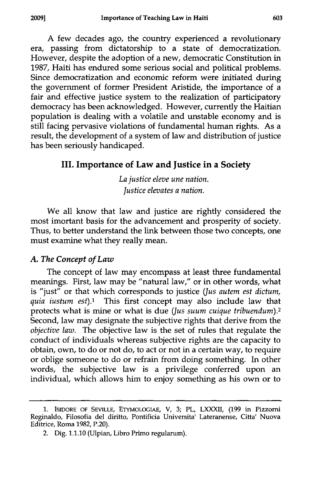A few decades ago, the country experienced a revolutionary era, passing from dictatorship to a state of democratization. However, despite the adoption of a new, democratic Constitution in 1987, Haiti has endured some serious social and political problems. Since democratization and economic reform were initiated during the government of former President Aristide, the importance of a fair and effective justice system to the realization of participatory democracy has been acknowledged. However, currently the Haitian population is dealing with a volatile and unstable economy and is still facing pervasive violations of fundamental human rights. As a result, the development of a system of law and distribution of justice has been seriously handicaped.

#### **III. Importance of Law and Justice in a Society**

*La justice eleve une nation. Justice elevates a nation.*

We all know that law and justice are rightly considered the most imortant basis for the advancement and prosperity of society. Thus, to better understand the link between those two concepts, one must examine what they really mean.

#### *A. The Concept of Law*

The concept of law may encompass at least three fundamental meanings. First, law may be "natural law," or in other words, what is "just" or that which corresponds to justice *Uus autem est dictum, quia iustum est).l* This first concept may also include law that protects what is mine or what is due *Uus suum cuique tribuendum).2* Second, law may designate the subjective rights that derive from the *objective law.* The objective law is the set of rules that regulate the conduct of individuals whereas subjective rights are the capacity to obtain, own, to do or not do, to act or not in a certain way, to require or oblige someone to do or refrain from doing something. In other words, the subjective law is a privilege conferred upon an individual, which allows him to enjoy something as his own or to

**<sup>1.</sup> ISIDORE OF SEVILLE, ETYMOLOGIAE, V, 3; PL, LXXXII, (199 in Pizzorni** Reginaldo, Filosofia del diritto, Pontificia Universita' Lateranense, Citta' Nuova Editrice, Roma **1982,** P.20).

<sup>2.</sup> Dig. **1.1.10** (Ulpian, Libro Primo regularum).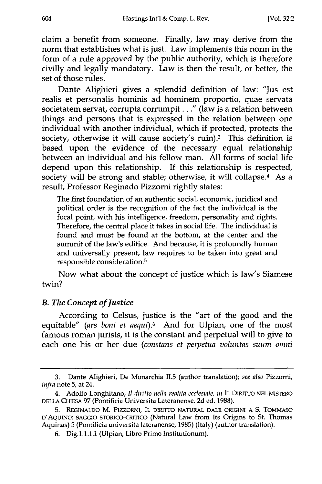claim a benefit from someone. Finally, law may derive from the norm that establishes what is just. Law implements this norm in the form of a rule approved by the public authority, which is therefore civilly and legally mandatory. Law is then the result, or better, the set of those rules.

Dante Alighieri gives a splendid definition of law: "Jus est realis et personalis hominis ad hominem proportio, quae servata societatem servat, corrupta corrumpit.. ." (law is a relation between things and persons that is expressed in the relation between one individual with another individual, which if protected, protects the society, otherwise it will cause society's ruin).<sup>3</sup> This definition is based upon the evidence of the necessary equal relationship between an individual and his fellow man. All forms of social life depend upon this relationship. If this relationship is respected, society will be strong and stable; otherwise, it will collapse.<sup>4</sup> As a result, Professor Reginado Pizzorni rightly states:

The first foundation of an authentic social, economic, juridical and political order is the recognition of the fact the individual is the focal point, with his intelligence, freedom, personality and rights. Therefore, the central place it takes in social life. The individual is found and must be found at the bottom, at the center and the summit of the law's edifice. And because, it is profoundly human and universally present, law requires to be taken into great and responsible consideration.5

Now what about the concept of justice which is law's Siamese twin?

#### *B. The Concept of Justice*

According to Celsus, justice is the "art of the good and the equitable" *(ars boni et aequi).6* And for Ulpian, one of the most famous roman jurists, it is the constant and perpetual will to give to each one his or her due *(constans et perpetua voluntas suum* omni

<sup>3.</sup> Dante Alighieri, De Monarchia **11.5** (author translation); *see also* Pizzorni, *infra* note 5, at 24.

<sup>4.</sup> Adolfo Longhitano, *II diritto nella realita ecclesiale, in* IL DIRrrro NEL MISTERO DELLA CHIESA 97 (Pontificia Universita Lateranense, 2d ed. 1988).

**<sup>5.</sup>** REGINALDO M. PIZZORNI, IL DIRITTO NATURAL DALE ORIGINI A **S.** TOMMASO D'AQUINO: SAGGIO STORICO-CRITICO (Natural Law from Its Origins to St. Thomas Aquinas) 5 (Pontificia universita lateranense, 1985) (Italy) (author translation).

<sup>6.</sup> Dig.1.1.1.1 (Ulpian, Libro Primo Institutionum).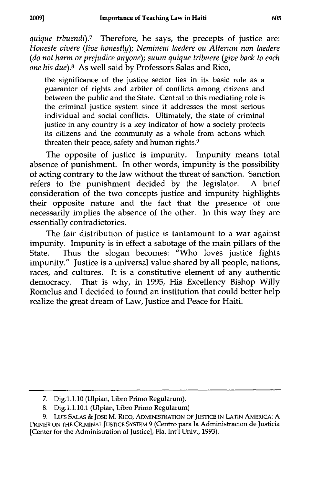*quique trbuendi).7* Therefore, he says, the precepts of justice are: *Honeste vivere (live honestly); Neminem laedere ou Alterum non laedere (do not harm or prejudice anyone); suum quique tribuere (give back to each one his due).8* As well said **by** Professors Salas and Rico,

the significance of the justice sector lies in its basic role as a guarantor of rights and arbiter of conflicts among citizens and between the public and the State. Central to this mediating role is the criminal justice system since it addresses the most serious individual and social conflicts. Ultimately, the state of criminal justice in any country is a key indicator of how a society protects its citizens and the community as a whole from actions which threaten their peace, safety and human rights.<sup>9</sup>

The opposite of justice is impunity. Impunity means total absence of punishment. In other words, impunity is the possibility of acting contrary to the law without the threat of sanction. Sanction refers to the punishment decided **by** the legislator. **A** brief consideration of the two concepts justice and impunity highlights their opposite nature and the fact that the presence of one necessarily implies the absence of the other. In this way they are essentially contradictories.

The fair distribution of justice is tantamount to a war against impunity. Impunity is in effect a sabotage of the main pillars of the State. Thus the slogan becomes: "Who loves justice fights impunity." Justice is a universal value shared **by** all people, nations, races, and cultures. It is a constitutive element of any authentic democracy. That is why, in **1995,** His Excellency Bishop Willy Romelus and **I** decided to found an institution that could better help realize the great dream of Law, Justice and Peace for Haiti.

**<sup>7.</sup>** Dig.1.1.10 (Ulpian, Libro Primo Regularum).

**<sup>8.</sup>** Dig.1.1.10.1 (Ulpian, Libro Primo Regularum)

**<sup>9.</sup>** LuIs SALAS **& JOSE** M. Rico, ADMINISTRATION OF JUSTICE **IN** LATIN AMERICA: **A** PRIMER **ON THE** CRIMINAL JusTICE SYSTEM **9** (Centro para la Administracion de Justicia [Center for the Administration of Justice], Fla. Int'l Univ., **1993).**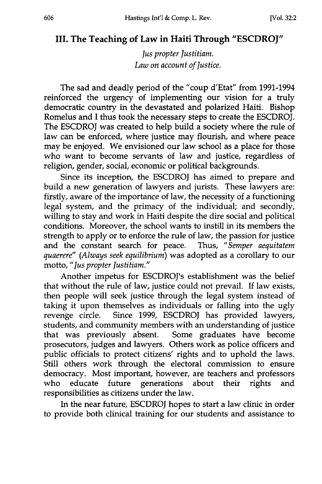## **III. The Teaching of Law in Haiti Through "ESCDROJ"**

*Jus propter Justitiam. Law on account of Justice.*

The sad and deadly period of the "coup d'Etat" from 1991-1994 reinforced the urgency of implementing our vision for a truly democratic country in the devastated and polarized Haiti. Bishop Romelus and I thus took the necessary steps to create the ESCDROJ. The ESCDROJ was created to help build a society where the rule of law can be enforced, where justice may flourish, and where peace may be enjoyed. We envisioned our law school as a place for those who want to become servants of law and justice, regardless of religion, gender, social, economic or political backgrounds.

Since its inception, the ESCDROJ has aimed to prepare and build a new generation of lawyers and jurists. These lawyers are: firstly, aware of the importance of law, the necessity of a functioning legal system, and the primacy of the individual; and secondly, willing to stay and work in Haiti despite the dire social and political conditions. Moreover, the school wants to instill in its members the strength to apply or to enforce the rule of law, the passion for justice and the constant search for peace. Thus, *"Semper aequitatem quaerere" (Always seek equilibrium)* was adopted as a corollary to our motto, *"Jus propter Justitiam."*

Another impetus for ESCDROJ's establishment was the belief that without the rule of law, justice could not prevail. If law exists, then people will seek justice through the legal system instead of taking it upon themselves as individuals or falling into the ugly revenge circle. Since 1999, ESCDROJ has provided lawyers, students, and community members with an understanding of justice that was previously absent. Some graduates have become prosecutors, judges and lawyers. Others work as police officers and public officials to protect citizens' rights and to uphold the laws. Still others work through the electoral commission to ensure democracy. Most important, however, are teachers and professors who educate future generations about their rights and responsibilities as citizens under the law.

In the near future, ESCDROJ hopes to start a law clinic in order to provide both clinical training for our students and assistance to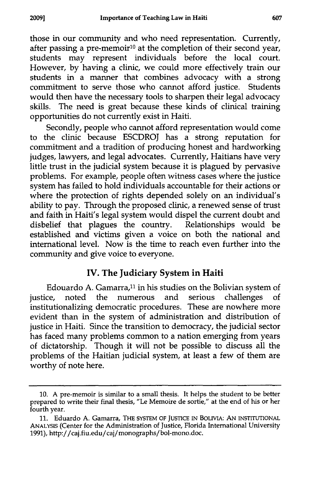those in our community and who need representation. Currently, after passing a pre-memoir<sup>10</sup> at the completion of their second year, students may represent individuals before the local court. However, by having a clinic, we could more effectively train our students in a manner that combines advocacy with a strong commitment to serve those who cannot afford justice. Students would then have the necessary tools to sharpen their legal advocacy skills. The need is great because these kinds of clinical training opportunities do not currently exist in Haiti.

Secondly, people who cannot afford representation would come to the clinic because ESCDROJ has a strong reputation for commitment and a tradition of producing honest and hardworking judges, lawyers, and legal advocates. Currently, Haitians have very little trust in the judicial system because it is plagued by pervasive problems. For example, people often witness cases where the justice system has failed to hold individuals accountable for their actions or where the protection of rights depended solely on an individual's ability to pay. Through the proposed clinic, a renewed sense of trust and faith in Haiti's legal system would dispel the current doubt and disbelief that plagues the country. Relationships would be established and victims given a voice on both the national and international level. Now is the time to reach even further into the community and give voice to everyone.

## IV. The Judiciary System in Haiti

Edouardo A. Gamarra,<sup>11</sup> in his studies on the Bolivian system of justice, noted the numerous and serious challenges of institutionalizing democratic procedures. These are nowhere more evident than in the system of administration and distribution of justice in Haiti. Since the transition to democracy, the judicial sector has faced many problems common to a nation emerging from years of dictatorship. Though it will not be possible to discuss all the problems of the Haitian judicial system, at least a few of them are worthy of note here.

<sup>10.</sup> A pre-memoir is similar to a small thesis. It helps the student to be better prepared to write their final thesis, "Le Memoire de sortie," at the end of his or her fourth year.

<sup>11.</sup> Eduardo A. Gamarra, THE SYSTEM OF JUSTICE IN BOLIVIA: **AN** INSTITUTIONAL ANALYSIS (Center for the Administration of Justice, Florida International University 1991), http://caj.fiu.edu/caj/monographs/bol-mono.doc.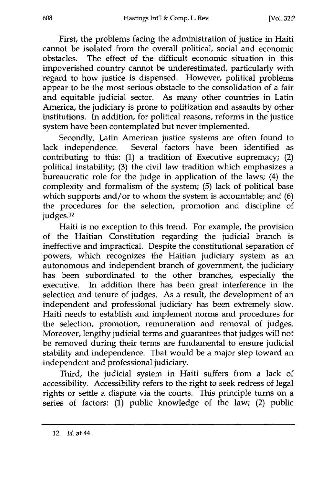First, the problems facing the administration of justice in Haiti cannot be isolated from the overall political, social and economic obstacles. The effect of the difficult economic situation in this impoverished country cannot be underestimated, particularly with regard to how justice is dispensed. However, political problems appear to be the most serious obstacle to the consolidation of a fair and equitable judicial sector. As many other countries in Latin America, the judiciary is prone to politization and assaults by other institutions. In addition, for political reasons, reforms in the justice system have been contemplated but never implemented.

Secondly, Latin American justice systems are often found to lack independence. Several factors have been identified as contributing to this: (1) a tradition of Executive supremacy; (2) political instability; (3) the civil law tradition which emphasizes a bureaucratic role for the judge in application of the laws; (4) the complexity and formalism of the system; (5) lack of political base which supports and/or to whom the system is accountable; and (6) the procedures for the selection, promotion and discipline of judges.12

Haiti is no exception to this trend. For example, the provision of the Haitian Constitution regarding the judicial branch is ineffective and impractical. Despite the constitutional separation of powers, which recognizes the Haitian judiciary system as an autonomous and independent branch of government, the judiciary has been subordinated to the other branches, especially the executive. In addition there has been great interference in the selection and tenure of judges. As a result, the development of an independent and professional judiciary has been extremely slow. Haiti needs to establish and implement norms and procedures for the selection, promotion, remuneration and removal of judges. Moreover, lengthy judicial terms and guarantees that judges will not be removed during their terms are fundamental to ensure judicial stability and independence. That would be a major step toward an independent and professional judiciary.

Third, the judicial system in Haiti suffers from a lack of accessibility. Accessibility refers to the right to seek redress of legal rights or settle a dispute via the courts. This principle turns on a series of factors: (1) public knowledge of the law; (2) public

<sup>12.</sup> *Id.* at 44.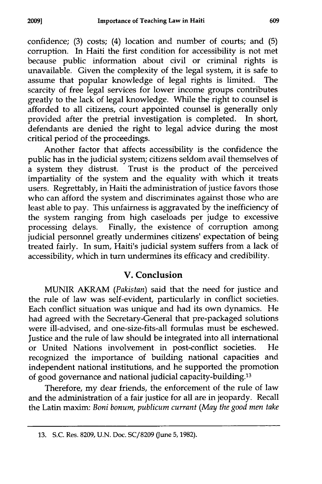confidence; (3) costs; (4) location and number of courts; and (5) corruption. In Haiti the first condition for accessibility is not met because public information about civil or criminal rights is unavailable. Given the complexity of the legal system, it is safe to assume that popular knowledge of legal rights is limited. The scarcity of free legal services for lower income groups contributes greatly to the lack of legal knowledge. While the right to counsel is afforded to all citizens, court appointed counsel is generally only provided after the pretrial investigation is completed. In short, defendants are denied the right to legal advice during the most critical period of the proceedings.

Another factor that affects accessibility is the confidence the public has in the judicial system; citizens seldom avail themselves of a system they distrust. Trust is the product of the perceived impartiality of the system and the equality with which it treats users. Regrettably, in Haiti the administration of justice favors those who can afford the system and discriminates against those who are least able to pay. This unfairness is aggravated by the inefficiency of the system ranging from high caseloads per judge to excessive processing delays. Finally, the existence of corruption among judicial personnel greatly undermines citizens' expectation of being treated fairly. In sum, Haiti's judicial system suffers from a lack of accessibility, which in turn undermines its efficacy and credibility.

### V. Conclusion

**MUNIR** AKRAM *(Pakistan)* said that the need for justice and the rule of law was self-evident, particularly in conflict societies. Each conflict situation was unique and had its own dynamics. He had agreed with the Secretary-General that pre-packaged solutions were ill-advised, and one-size-fits-all formulas must be eschewed. Justice and the rule of law should be integrated into all international or United Nations involvement in post-conflict societies. He recognized the importance of building national capacities and independent national institutions, and he supported the promotion of good governance and national judicial capacity-building. <sup>13</sup>

Therefore, my dear friends, the enforcement of the rule of law and the administration of a fair justice for all are in jeopardy. Recall the Latin maxim: *Boni bonum, publicum currant (May the good men take*

**<sup>13.</sup>** S.C. Res. **8209,** U.N. Doc. SC/8209 June 5,1982).